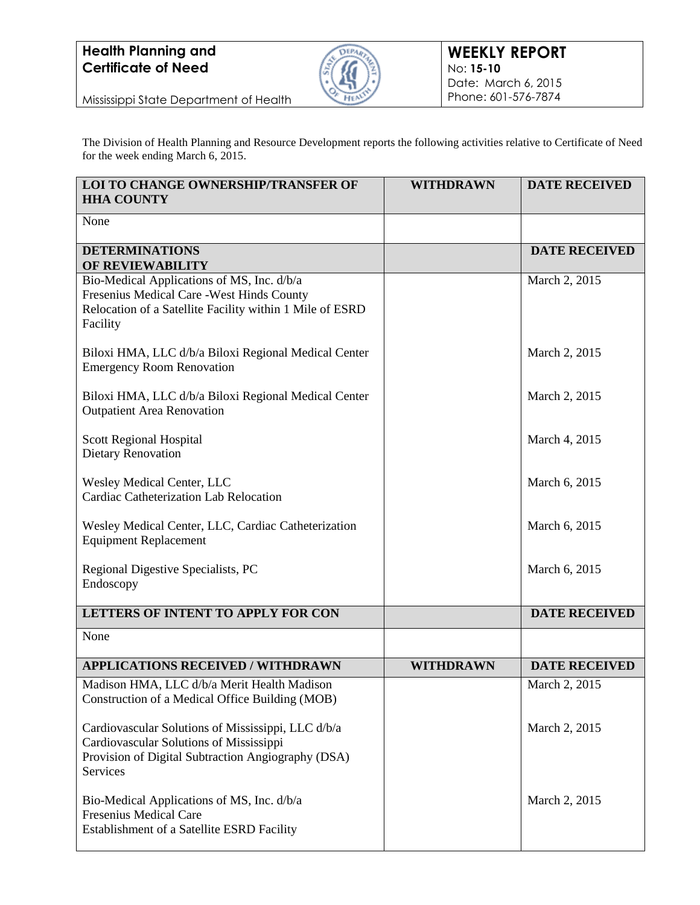## **Health Planning and Certificate of Need**



Mississippi State Department of Health

The Division of Health Planning and Resource Development reports the following activities relative to Certificate of Need for the week ending March 6, 2015.

| <b>LOI TO CHANGE OWNERSHIP/TRANSFER OF</b><br><b>HHA COUNTY</b>                                                                                                  | <b>WITHDRAWN</b> | <b>DATE RECEIVED</b> |
|------------------------------------------------------------------------------------------------------------------------------------------------------------------|------------------|----------------------|
| None                                                                                                                                                             |                  |                      |
| <b>DETERMINATIONS</b><br>OF REVIEWABILITY                                                                                                                        |                  | <b>DATE RECEIVED</b> |
| Bio-Medical Applications of MS, Inc. d/b/a<br>Fresenius Medical Care - West Hinds County<br>Relocation of a Satellite Facility within 1 Mile of ESRD<br>Facility |                  | March 2, 2015        |
| Biloxi HMA, LLC d/b/a Biloxi Regional Medical Center<br><b>Emergency Room Renovation</b>                                                                         |                  | March 2, 2015        |
| Biloxi HMA, LLC d/b/a Biloxi Regional Medical Center<br><b>Outpatient Area Renovation</b>                                                                        |                  | March 2, 2015        |
| Scott Regional Hospital<br><b>Dietary Renovation</b>                                                                                                             |                  | March 4, 2015        |
| <b>Wesley Medical Center, LLC</b><br><b>Cardiac Catheterization Lab Relocation</b>                                                                               |                  | March 6, 2015        |
| Wesley Medical Center, LLC, Cardiac Catheterization<br><b>Equipment Replacement</b>                                                                              |                  | March 6, 2015        |
| Regional Digestive Specialists, PC<br>Endoscopy                                                                                                                  |                  | March 6, 2015        |
| LETTERS OF INTENT TO APPLY FOR CON                                                                                                                               |                  | <b>DATE RECEIVED</b> |
| None                                                                                                                                                             |                  |                      |
| <b>APPLICATIONS RECEIVED / WITHDRAWN</b>                                                                                                                         | <b>WITHDRAWN</b> | <b>DATE RECEIVED</b> |
| Madison HMA, LLC d/b/a Merit Health Madison<br>Construction of a Medical Office Building (MOB)                                                                   |                  | March 2, 2015        |
| Cardiovascular Solutions of Mississippi, LLC d/b/a<br>Cardiovascular Solutions of Mississippi<br>Provision of Digital Subtraction Angiography (DSA)<br>Services  |                  | March 2, 2015        |
| Bio-Medical Applications of MS, Inc. d/b/a<br><b>Fresenius Medical Care</b><br>Establishment of a Satellite ESRD Facility                                        |                  | March 2, 2015        |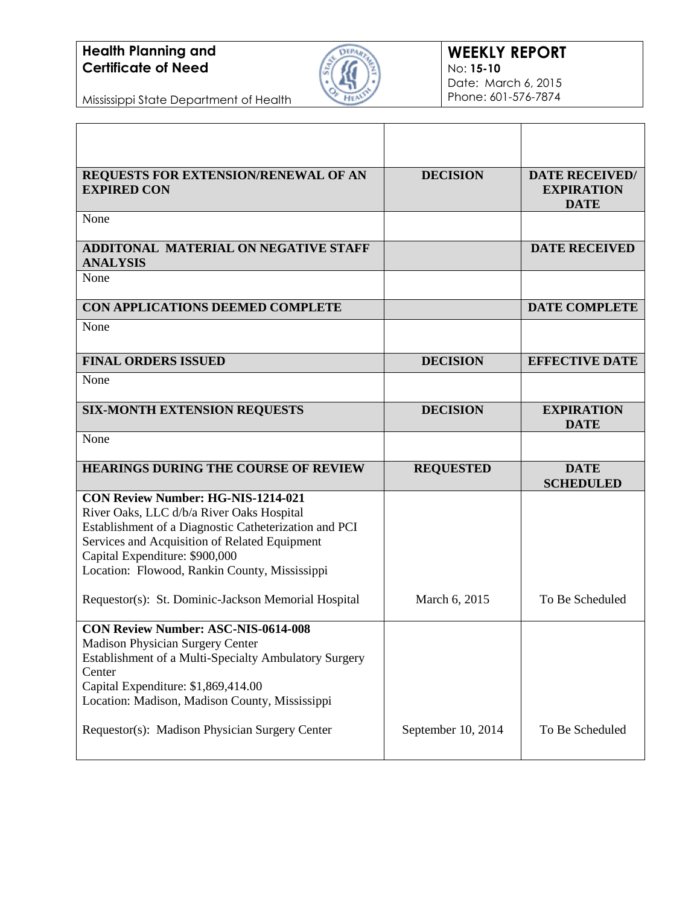## **Health Planning and Certificate of Need**



Mississippi State Department of Health

| REQUESTS FOR EXTENSION/RENEWAL OF AN<br><b>EXPIRED CON</b>                                                                                                                                                                                                                                          | <b>DECISION</b>    | <b>DATE RECEIVED/</b><br><b>EXPIRATION</b><br><b>DATE</b> |
|-----------------------------------------------------------------------------------------------------------------------------------------------------------------------------------------------------------------------------------------------------------------------------------------------------|--------------------|-----------------------------------------------------------|
| None                                                                                                                                                                                                                                                                                                |                    |                                                           |
| ADDITONAL MATERIAL ON NEGATIVE STAFF<br><b>ANALYSIS</b>                                                                                                                                                                                                                                             |                    | <b>DATE RECEIVED</b>                                      |
| None                                                                                                                                                                                                                                                                                                |                    |                                                           |
| CON APPLICATIONS DEEMED COMPLETE                                                                                                                                                                                                                                                                    |                    | <b>DATE COMPLETE</b>                                      |
| None                                                                                                                                                                                                                                                                                                |                    |                                                           |
| <b>FINAL ORDERS ISSUED</b>                                                                                                                                                                                                                                                                          | <b>DECISION</b>    | <b>EFFECTIVE DATE</b>                                     |
| None                                                                                                                                                                                                                                                                                                |                    |                                                           |
| <b>SIX-MONTH EXTENSION REQUESTS</b>                                                                                                                                                                                                                                                                 | <b>DECISION</b>    | <b>EXPIRATION</b><br><b>DATE</b>                          |
| None                                                                                                                                                                                                                                                                                                |                    |                                                           |
| <b>HEARINGS DURING THE COURSE OF REVIEW</b>                                                                                                                                                                                                                                                         | <b>REQUESTED</b>   | <b>DATE</b><br><b>SCHEDULED</b>                           |
| <b>CON Review Number: HG-NIS-1214-021</b><br>River Oaks, LLC d/b/a River Oaks Hospital<br>Establishment of a Diagnostic Catheterization and PCI<br>Services and Acquisition of Related Equipment<br>Capital Expenditure: \$900,000<br>Location: Flowood, Rankin County, Mississippi                 |                    |                                                           |
| Requestor(s): St. Dominic-Jackson Memorial Hospital                                                                                                                                                                                                                                                 | March 6, 2015      | To Be Scheduled                                           |
| <b>CON Review Number: ASC-NIS-0614-008</b><br><b>Madison Physician Surgery Center</b><br>Establishment of a Multi-Specialty Ambulatory Surgery<br>Center<br>Capital Expenditure: \$1,869,414.00<br>Location: Madison, Madison County, Mississippi<br>Requestor(s): Madison Physician Surgery Center | September 10, 2014 | To Be Scheduled                                           |
|                                                                                                                                                                                                                                                                                                     |                    |                                                           |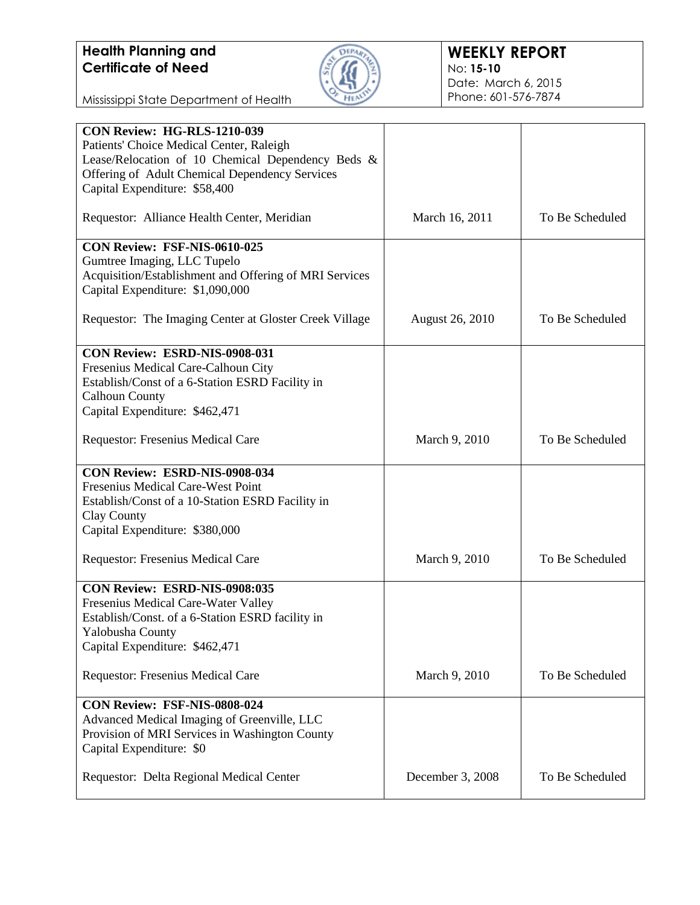

Mississippi State Department of Health

| CON Review: HG-RLS-1210-039                            |                        |                 |
|--------------------------------------------------------|------------------------|-----------------|
| Patients' Choice Medical Center, Raleigh               |                        |                 |
| Lease/Relocation of 10 Chemical Dependency Beds &      |                        |                 |
| Offering of Adult Chemical Dependency Services         |                        |                 |
| Capital Expenditure: \$58,400                          |                        |                 |
|                                                        |                        |                 |
| Requestor: Alliance Health Center, Meridian            | March 16, 2011         | To Be Scheduled |
|                                                        |                        |                 |
| CON Review: FSF-NIS-0610-025                           |                        |                 |
| Gumtree Imaging, LLC Tupelo                            |                        |                 |
| Acquisition/Establishment and Offering of MRI Services |                        |                 |
| Capital Expenditure: \$1,090,000                       |                        |                 |
|                                                        |                        |                 |
| Requestor: The Imaging Center at Gloster Creek Village | <b>August 26, 2010</b> | To Be Scheduled |
|                                                        |                        |                 |
| <b>CON Review: ESRD-NIS-0908-031</b>                   |                        |                 |
| Fresenius Medical Care-Calhoun City                    |                        |                 |
| Establish/Const of a 6-Station ESRD Facility in        |                        |                 |
| <b>Calhoun County</b>                                  |                        |                 |
| Capital Expenditure: \$462,471                         |                        |                 |
|                                                        |                        |                 |
| Requestor: Fresenius Medical Care                      | March 9, 2010          | To Be Scheduled |
|                                                        |                        |                 |
| CON Review: ESRD-NIS-0908-034                          |                        |                 |
| Fresenius Medical Care-West Point                      |                        |                 |
| Establish/Const of a 10-Station ESRD Facility in       |                        |                 |
| Clay County                                            |                        |                 |
| Capital Expenditure: \$380,000                         |                        |                 |
| Requestor: Fresenius Medical Care                      | March 9, 2010          | To Be Scheduled |
|                                                        |                        |                 |
| CON Review: ESRD-NIS-0908:035                          |                        |                 |
| Fresenius Medical Care-Water Valley                    |                        |                 |
| Establish/Const. of a 6-Station ESRD facility in       |                        |                 |
| Yalobusha County                                       |                        |                 |
| Capital Expenditure: \$462,471                         |                        |                 |
|                                                        |                        |                 |
| Requestor: Fresenius Medical Care                      | March 9, 2010          | To Be Scheduled |
|                                                        |                        |                 |
| CON Review: FSF-NIS-0808-024                           |                        |                 |
| Advanced Medical Imaging of Greenville, LLC            |                        |                 |
| Provision of MRI Services in Washington County         |                        |                 |
| Capital Expenditure: \$0                               |                        |                 |
|                                                        |                        |                 |
| Requestor: Delta Regional Medical Center               | December 3, 2008       | To Be Scheduled |
|                                                        |                        |                 |